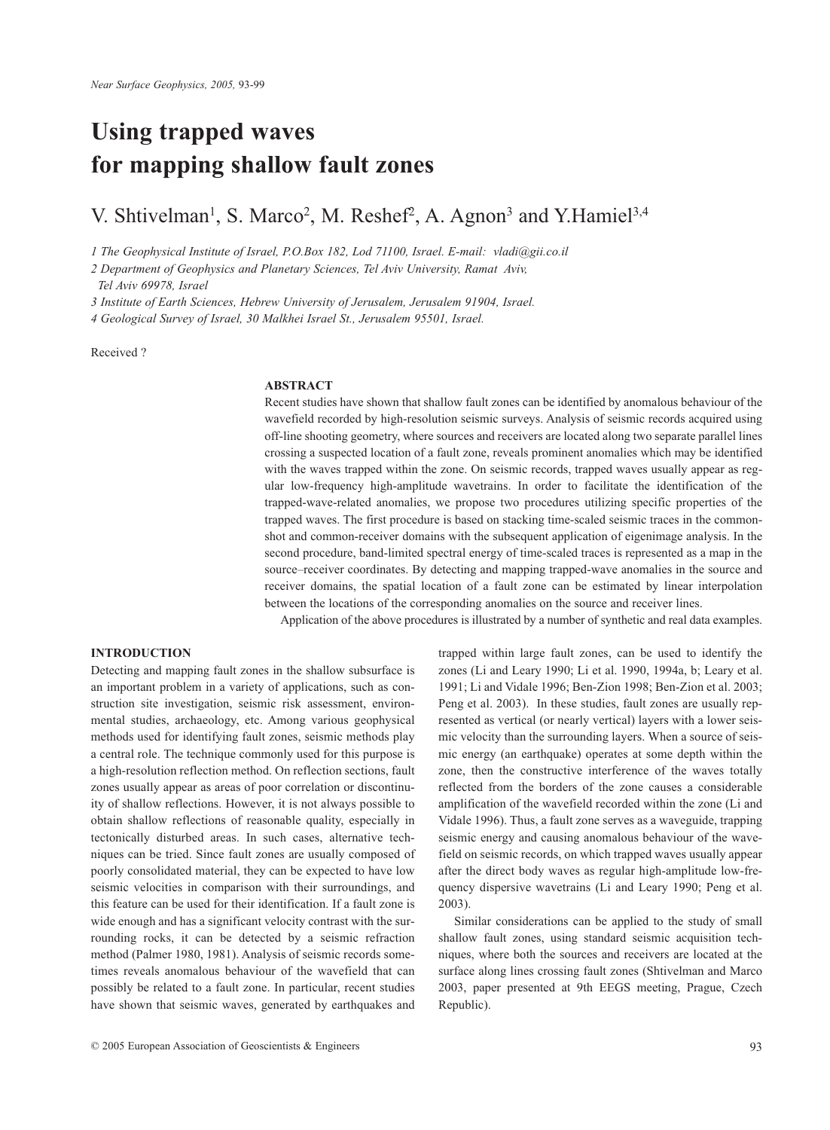# **Using trapped waves for mapping shallow fault zones**

V. Shtivelman<sup>1</sup>, S. Marco<sup>2</sup>, M. Reshef<sup>2</sup>, A. Agnon<sup>3</sup> and Y. Hamiel<sup>3,4</sup>

*1 The Geophysical Institute of Israel, P.O.Box 182, Lod 71100, Israel. E-mail: vladi@gii.co.il*

*2 Department of Geophysics and Planetary Sciences, Tel Aviv University, Ramat Aviv,* 

*Tel Aviv 69978, Israel* 

*3 Institute of Earth Sciences, Hebrew University of Jerusalem, Jerusalem 91904, Israel.*

*4 Geological Survey of Israel, 30 Malkhei Israel St., Jerusalem 95501, Israel.* 

## Received ?

# **ABSTRACT**

Recent studies have shown that shallow fault zones can be identified by anomalous behaviour of the wavefield recorded by high-resolution seismic surveys. Analysis of seismic records acquired using off-line shooting geometry, where sources and receivers are located along two separate parallel lines crossing a suspected location of a fault zone, reveals prominent anomalies which may be identified with the waves trapped within the zone. On seismic records, trapped waves usually appear as regular low-frequency high-amplitude wavetrains. In order to facilitate the identification of the trapped-wave-related anomalies, we propose two procedures utilizing specific properties of the trapped waves. The first procedure is based on stacking time-scaled seismic traces in the commonshot and common-receiver domains with the subsequent application of eigenimage analysis. In the second procedure, band-limited spectral energy of time-scaled traces is represented as a map in the source–receiver coordinates. By detecting and mapping trapped-wave anomalies in the source and receiver domains, the spatial location of a fault zone can be estimated by linear interpolation between the locations of the corresponding anomalies on the source and receiver lines.

Application of the above procedures is illustrated by a number of synthetic and real data examples.

# **INTRODUCTION**

Detecting and mapping fault zones in the shallow subsurface is an important problem in a variety of applications, such as construction site investigation, seismic risk assessment, environmental studies, archaeology, etc. Among various geophysical methods used for identifying fault zones, seismic methods play a central role. The technique commonly used for this purpose is a high-resolution reflection method. On reflection sections, fault zones usually appear as areas of poor correlation or discontinuity of shallow reflections. However, it is not always possible to obtain shallow reflections of reasonable quality, especially in tectonically disturbed areas. In such cases, alternative techniques can be tried. Since fault zones are usually composed of poorly consolidated material, they can be expected to have low seismic velocities in comparison with their surroundings, and this feature can be used for their identification. If a fault zone is wide enough and has a significant velocity contrast with the surrounding rocks, it can be detected by a seismic refraction method (Palmer 1980, 1981). Analysis of seismic records sometimes reveals anomalous behaviour of the wavefield that can possibly be related to a fault zone. In particular, recent studies have shown that seismic waves, generated by earthquakes and

trapped within large fault zones, can be used to identify the zones (Li and Leary 1990; Li et al. 1990, 1994a, b; Leary et al. 1991; Li and Vidale 1996; Ben-Zion 1998; Ben-Zion et al. 2003; Peng et al. 2003). In these studies, fault zones are usually represented as vertical (or nearly vertical) layers with a lower seismic velocity than the surrounding layers. When a source of seismic energy (an earthquake) operates at some depth within the zone, then the constructive interference of the waves totally reflected from the borders of the zone causes a considerable amplification of the wavefield recorded within the zone (Li and Vidale 1996). Thus, a fault zone serves as a waveguide, trapping seismic energy and causing anomalous behaviour of the wavefield on seismic records, on which trapped waves usually appear after the direct body waves as regular high-amplitude low-frequency dispersive wavetrains (Li and Leary 1990; Peng et al. 2003).

Similar considerations can be applied to the study of small shallow fault zones, using standard seismic acquisition techniques, where both the sources and receivers are located at the surface along lines crossing fault zones (Shtivelman and Marco 2003, paper presented at 9th EEGS meeting, Prague, Czech Republic).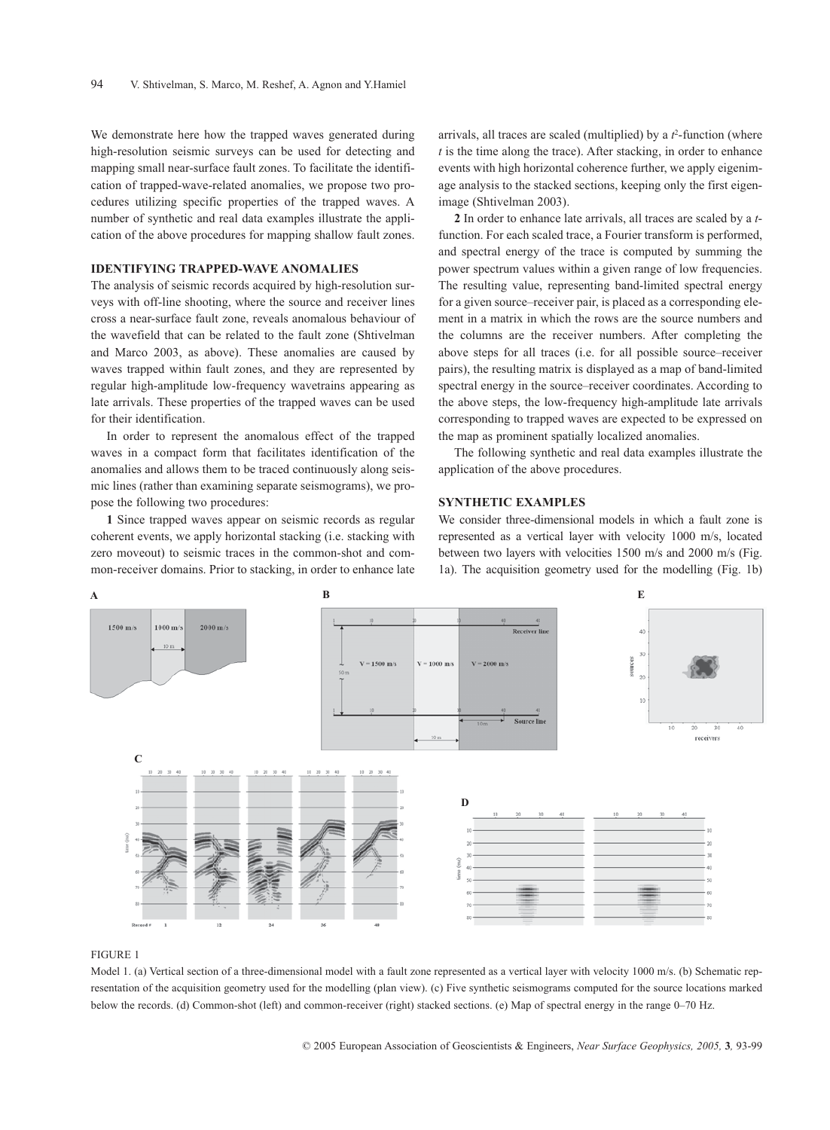We demonstrate here how the trapped waves generated during high-resolution seismic surveys can be used for detecting and mapping small near-surface fault zones. To facilitate the identification of trapped-wave-related anomalies, we propose two procedures utilizing specific properties of the trapped waves. A number of synthetic and real data examples illustrate the application of the above procedures for mapping shallow fault zones.

## **IDENTIFYING TRAPPED-WAVE ANOMALIES**

The analysis of seismic records acquired by high-resolution surveys with off-line shooting, where the source and receiver lines cross a near-surface fault zone, reveals anomalous behaviour of the wavefield that can be related to the fault zone (Shtivelman and Marco 2003, as above). These anomalies are caused by waves trapped within fault zones, and they are represented by regular high-amplitude low-frequency wavetrains appearing as late arrivals. These properties of the trapped waves can be used for their identification.

In order to represent the anomalous effect of the trapped waves in a compact form that facilitates identification of the anomalies and allows them to be traced continuously along seismic lines (rather than examining separate seismograms), we propose the following two procedures:

**1** Since trapped waves appear on seismic records as regular coherent events, we apply horizontal stacking (i.e. stacking with zero moveout) to seismic traces in the common-shot and common-receiver domains. Prior to stacking, in order to enhance late

arrivals, all traces are scaled (multiplied) by a  $t^2$ -function (where *t* is the time along the trace). After stacking, in order to enhance events with high horizontal coherence further, we apply eigenimage analysis to the stacked sections, keeping only the first eigenimage (Shtivelman 2003).

**2** In order to enhance late arrivals, all traces are scaled by a *t*function. For each scaled trace, a Fourier transform is performed, and spectral energy of the trace is computed by summing the power spectrum values within a given range of low frequencies. The resulting value, representing band-limited spectral energy for a given source–receiver pair, is placed as a corresponding element in a matrix in which the rows are the source numbers and the columns are the receiver numbers. After completing the above steps for all traces (i.e. for all possible source–receiver pairs), the resulting matrix is displayed as a map of band-limited spectral energy in the source–receiver coordinates. According to the above steps, the low-frequency high-amplitude late arrivals corresponding to trapped waves are expected to be expressed on the map as prominent spatially localized anomalies.

The following synthetic and real data examples illustrate the application of the above procedures.

# **SYNTHETIC EXAMPLES**

We consider three-dimensional models in which a fault zone is represented as a vertical layer with velocity 1000 m/s, located between two layers with velocities 1500 m/s and 2000 m/s (Fig. 1a). The acquisition geometry used for the modelling (Fig. 1b)



#### FIGURE 1

Model 1. (a) Vertical section of a three-dimensional model with a fault zone represented as a vertical layer with velocity 1000 m/s. (b) Schematic representation of the acquisition geometry used for the modelling (plan view). (c) Five synthetic seismograms computed for the source locations marked below the records. (d) Common-shot (left) and common-receiver (right) stacked sections. (e) Map of spectral energy in the range 0–70 Hz.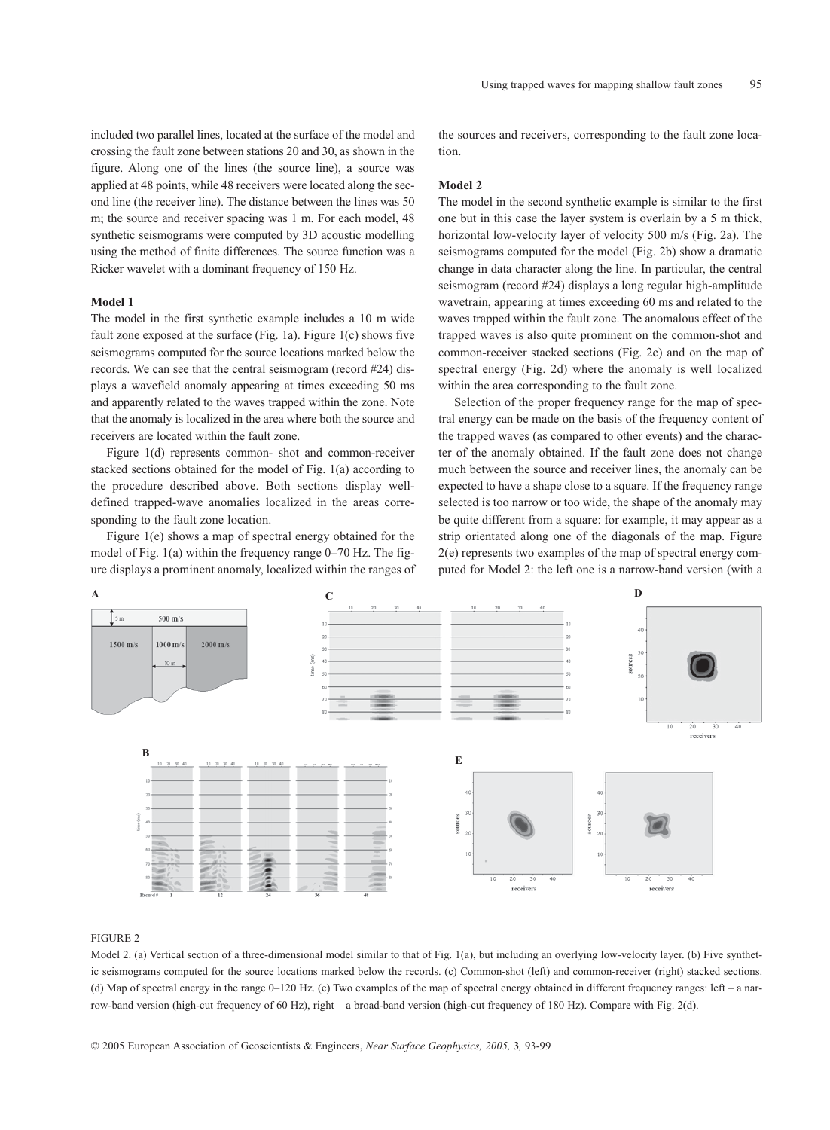included two parallel lines, located at the surface of the model and crossing the fault zone between stations 20 and 30, as shown in the figure. Along one of the lines (the source line), a source was applied at 48 points, while 48 receivers were located along the second line (the receiver line). The distance between the lines was 50 m; the source and receiver spacing was 1 m. For each model, 48 synthetic seismograms were computed by 3D acoustic modelling using the method of finite differences. The source function was a Ricker wavelet with a dominant frequency of 150 Hz.

## **Model 1**

The model in the first synthetic example includes a 10 m wide fault zone exposed at the surface (Fig. 1a). Figure 1(c) shows five seismograms computed for the source locations marked below the records. We can see that the central seismogram (record #24) displays a wavefield anomaly appearing at times exceeding 50 ms and apparently related to the waves trapped within the zone. Note that the anomaly is localized in the area where both the source and receivers are located within the fault zone.

Figure 1(d) represents common- shot and common-receiver stacked sections obtained for the model of Fig. 1(a) according to the procedure described above. Both sections display welldefined trapped-wave anomalies localized in the areas corresponding to the fault zone location.

Figure 1(e) shows a map of spectral energy obtained for the model of Fig. 1(a) within the frequency range 0–70 Hz. The figure displays a prominent anomaly, localized within the ranges of the sources and receivers, corresponding to the fault zone location.

### **Model 2**

The model in the second synthetic example is similar to the first one but in this case the layer system is overlain by a 5 m thick, horizontal low-velocity layer of velocity 500 m/s (Fig. 2a). The seismograms computed for the model (Fig. 2b) show a dramatic change in data character along the line. In particular, the central seismogram (record #24) displays a long regular high-amplitude wavetrain, appearing at times exceeding 60 ms and related to the waves trapped within the fault zone. The anomalous effect of the trapped waves is also quite prominent on the common-shot and common-receiver stacked sections (Fig. 2c) and on the map of spectral energy (Fig. 2d) where the anomaly is well localized within the area corresponding to the fault zone.

Selection of the proper frequency range for the map of spectral energy can be made on the basis of the frequency content of the trapped waves (as compared to other events) and the character of the anomaly obtained. If the fault zone does not change much between the source and receiver lines, the anomaly can be expected to have a shape close to a square. If the frequency range selected is too narrow or too wide, the shape of the anomaly may be quite different from a square: for example, it may appear as a strip orientated along one of the diagonals of the map. Figure 2(e) represents two examples of the map of spectral energy computed for Model 2: the left one is a narrow-band version (with a



## FIGURE 2

Model 2. (a) Vertical section of a three-dimensional model similar to that of Fig. 1(a), but including an overlying low-velocity layer. (b) Five synthetic seismograms computed for the source locations marked below the records. (c) Common-shot (left) and common-receiver (right) stacked sections. (d) Map of spectral energy in the range 0–120 Hz. (e) Two examples of the map of spectral energy obtained in different frequency ranges: left – a narrow-band version (high-cut frequency of 60 Hz), right – a broad-band version (high-cut frequency of 180 Hz). Compare with Fig. 2(d).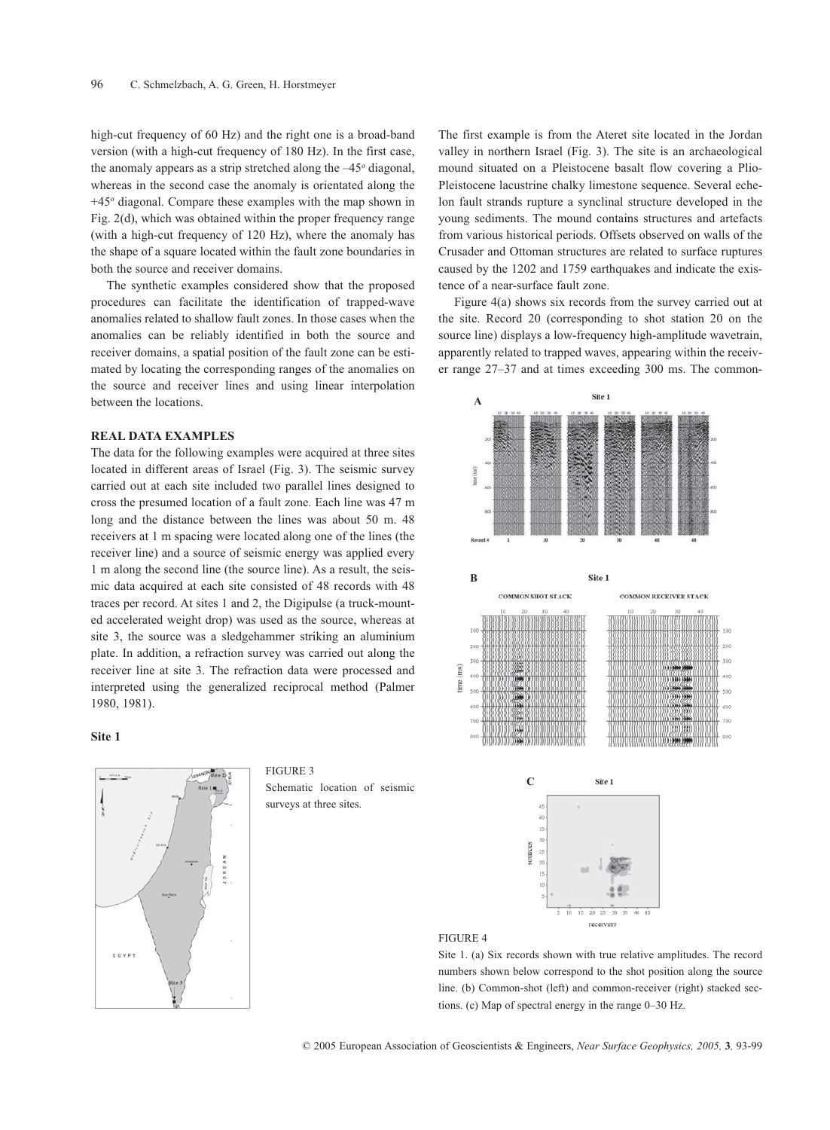high-cut frequency of 60 Hz) and the right one is a broad-band version (with a high-cut frequency of 180 Hz). In the first case, the anomaly appears as a strip stretched along the  $-45^{\circ}$  diagonal, whereas in the second case the anomaly is orientated along the  $+45^\circ$  diagonal. Compare these examples with the map shown in Fig. 2(d), which was obtained within the proper frequency range (with a high-cut frequency of 120 Hz), where the anomaly has the shape of a square located within the fault zone boundaries in both the source and receiver domains.

The synthetic examples considered show that the proposed procedures can facilitate the identification of trapped-wave anomalies related to shallow fault zones. In those cases when the anomalies can be reliably identified in both the source and receiver domains, a spatial position of the fault zone can be estimated by locating the corresponding ranges of the anomalies on the source and receiver lines and using linear interpolation between the locations.

## **REAL DATA EXAMPLES**

The data for the following examples were acquired at three sites located in different areas of Israel (Fig. 3). The seismic survey carried out at each site included two parallel lines designed to cross the presumed location of a fault zone. Each line was 47 m long and the distance between the lines was about 50 m. 48 receivers at 1 m spacing were located along one of the lines (the receiver line) and a source of seismic energy was applied every 1 m along the second line (the source line). As a result, the seismic data acquired at each site consisted of 48 records with 48 traces per record. At sites 1 and 2, the Digipulse (a truck-mounted accelerated weight drop) was used as the source, whereas at site 3, the source was a sledgehammer striking an aluminium plate. In addition, a refraction survey was carried out along the receiver line at site 3. The refraction data were processed and interpreted using the generalized reciprocal method (Palmer 1980, 1981).

#### **Site 1**



FIGURE 3 Schematic location of seismic surveys at three sites.

The first example is from the Ateret site located in the Jordan valley in northern Israel (Fig. 3). The site is an archaeological mound situated on a Pleistocene basalt flow covering a Plio-Pleistocene lacustrine chalky limestone sequence. Several echelon fault strands rupture a synclinal structure developed in the young sediments. The mound contains structures and artefacts from various historical periods. Offsets observed on walls of the Crusader and Ottoman structures are related to surface ruptures caused by the 1202 and 1759 earthquakes and indicate the existence of a near-surface fault zone.

Figure 4(a) shows six records from the survey carried out at the site. Record 20 (corresponding to shot station 20 on the source line) displays a low-frequency high-amplitude wavetrain, apparently related to trapped waves, appearing within the receiver range 27–37 and at times exceeding 300 ms. The common-



# FIGURE 4

Site 1. (a) Six records shown with true relative amplitudes. The record numbers shown below correspond to the shot position along the source line. (b) Common-shot (left) and common-receiver (right) stacked sections. (c) Map of spectral energy in the range 0–30 Hz.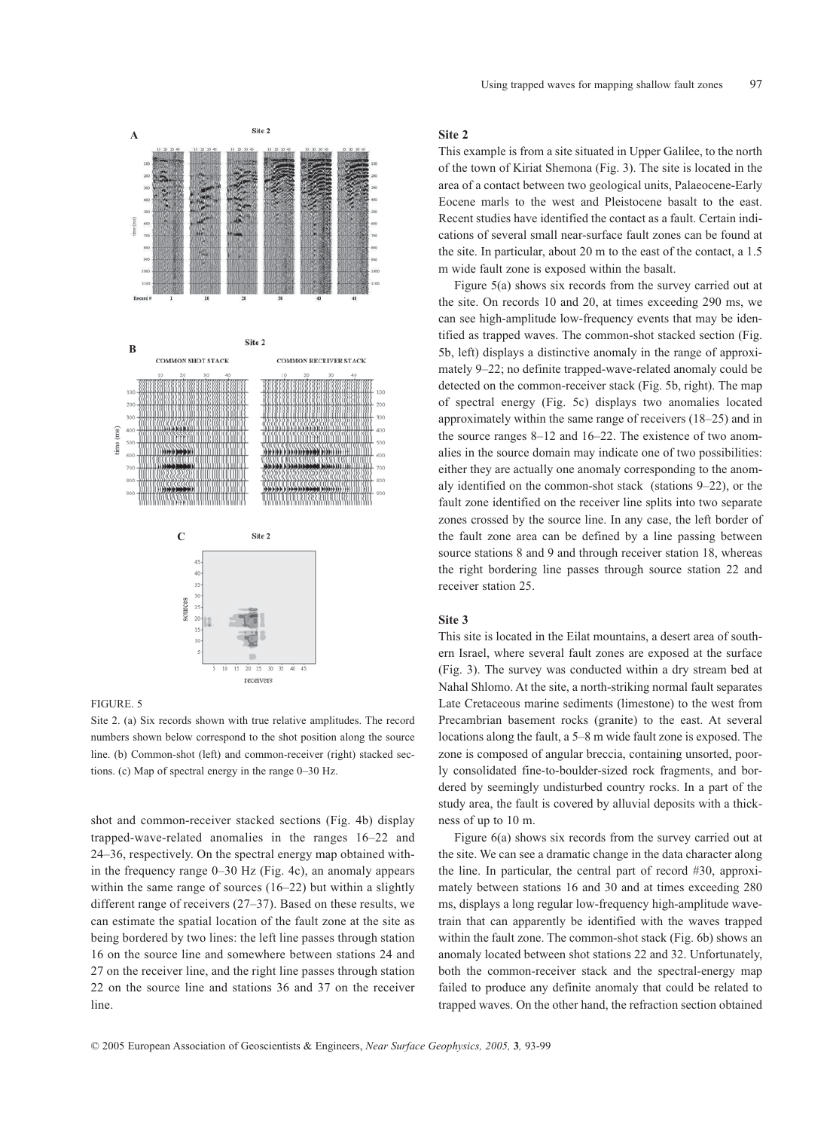

#### FIGURE. 5

Site 2. (a) Six records shown with true relative amplitudes. The record numbers shown below correspond to the shot position along the source line. (b) Common-shot (left) and common-receiver (right) stacked sections. (c) Map of spectral energy in the range 0–30 Hz.

shot and common-receiver stacked sections (Fig. 4b) display trapped-wave-related anomalies in the ranges 16–22 and 24–36, respectively. On the spectral energy map obtained within the frequency range 0–30 Hz (Fig. 4c), an anomaly appears within the same range of sources (16–22) but within a slightly different range of receivers (27–37). Based on these results, we can estimate the spatial location of the fault zone at the site as being bordered by two lines: the left line passes through station 16 on the source line and somewhere between stations 24 and 27 on the receiver line, and the right line passes through station 22 on the source line and stations 36 and 37 on the receiver line.

#### **Site 2**

This example is from a site situated in Upper Galilee, to the north of the town of Kiriat Shemona (Fig. 3). The site is located in the area of a contact between two geological units, Palaeocene-Early Eocene marls to the west and Pleistocene basalt to the east. Recent studies have identified the contact as a fault. Certain indications of several small near-surface fault zones can be found at the site. In particular, about 20 m to the east of the contact, a 1.5 m wide fault zone is exposed within the basalt.

Figure 5(a) shows six records from the survey carried out at the site. On records 10 and 20, at times exceeding 290 ms, we can see high-amplitude low-frequency events that may be identified as trapped waves. The common-shot stacked section (Fig. 5b, left) displays a distinctive anomaly in the range of approximately 9–22; no definite trapped-wave-related anomaly could be detected on the common-receiver stack (Fig. 5b, right). The map of spectral energy (Fig. 5c) displays two anomalies located approximately within the same range of receivers (18–25) and in the source ranges 8–12 and 16–22. The existence of two anomalies in the source domain may indicate one of two possibilities: either they are actually one anomaly corresponding to the anomaly identified on the common-shot stack (stations 9–22), or the fault zone identified on the receiver line splits into two separate zones crossed by the source line. In any case, the left border of the fault zone area can be defined by a line passing between source stations 8 and 9 and through receiver station 18, whereas the right bordering line passes through source station 22 and receiver station 25.

#### **Site 3**

This site is located in the Eilat mountains, a desert area of southern Israel, where several fault zones are exposed at the surface (Fig. 3). The survey was conducted within a dry stream bed at Nahal Shlomo. At the site, a north-striking normal fault separates Late Cretaceous marine sediments (limestone) to the west from Precambrian basement rocks (granite) to the east. At several locations along the fault, a 5–8 m wide fault zone is exposed. The zone is composed of angular breccia, containing unsorted, poorly consolidated fine-to-boulder-sized rock fragments, and bordered by seemingly undisturbed country rocks. In a part of the study area, the fault is covered by alluvial deposits with a thickness of up to 10 m.

Figure 6(a) shows six records from the survey carried out at the site. We can see a dramatic change in the data character along the line. In particular, the central part of record #30, approximately between stations 16 and 30 and at times exceeding 280 ms, displays a long regular low-frequency high-amplitude wavetrain that can apparently be identified with the waves trapped within the fault zone. The common-shot stack (Fig. 6b) shows an anomaly located between shot stations 22 and 32. Unfortunately, both the common-receiver stack and the spectral-energy map failed to produce any definite anomaly that could be related to trapped waves. On the other hand, the refraction section obtained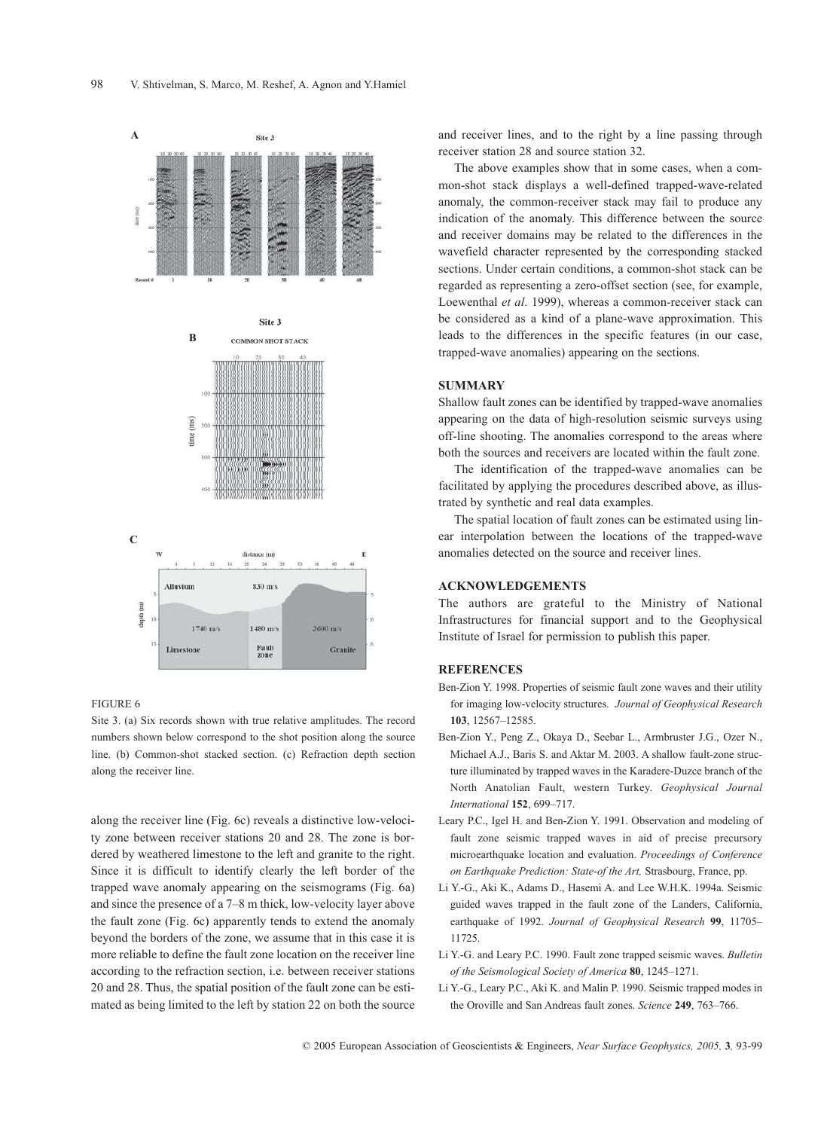

#### FIGURE 6

Site 3. (a) Six records shown with true relative amplitudes. The record numbers shown below correspond to the shot position along the source line. (b) Common-shot stacked section. (c) Refraction depth section along the receiver line.

along the receiver line (Fig. 6c) reveals a distinctive low-velocity zone between receiver stations 20 and 28. The zone is bordered by weathered limestone to the left and granite to the right. Since it is difficult to identify clearly the left border of the trapped wave anomaly appearing on the seismograms (Fig. 6a) and since the presence of a 7–8 m thick, low-velocity layer above the fault zone (Fig. 6c) apparently tends to extend the anomaly beyond the borders of the zone, we assume that in this case it is more reliable to define the fault zone location on the receiver line according to the refraction section, i.e. between receiver stations 20 and 28. Thus, the spatial position of the fault zone can be estimated as being limited to the left by station 22 on both the source and receiver lines, and to the right by a line passing through receiver station 28 and source station 32.

The above examples show that in some cases, when a common-shot stack displays a well-defined trapped-wave-related anomaly, the common-receiver stack may fail to produce any indication of the anomaly. This difference between the source and receiver domains may be related to the differences in the wavefield character represented by the corresponding stacked sections. Under certain conditions, a common-shot stack can be regarded as representing a zero-offset section (see, for example, Loewenthal *et al*. 1999), whereas a common-receiver stack can be considered as a kind of a plane-wave approximation. This leads to the differences in the specific features (in our case, trapped-wave anomalies) appearing on the sections.

## **SUMMARY**

Shallow fault zones can be identified by trapped-wave anomalies appearing on the data of high-resolution seismic surveys using off-line shooting. The anomalies correspond to the areas where both the sources and receivers are located within the fault zone.

The identification of the trapped-wave anomalies can be facilitated by applying the procedures described above, as illustrated by synthetic and real data examples.

The spatial location of fault zones can be estimated using linear interpolation between the locations of the trapped-wave anomalies detected on the source and receiver lines.

# **ACKNOWLEDGEMENTS**

The authors are grateful to the Ministry of National Infrastructures for financial support and to the Geophysical Institute of Israel for permission to publish this paper.

# **REFERENCES**

- Ben-Zion Y. 1998. Properties of seismic fault zone waves and their utility for imaging low-velocity structures. *Journal of Geophysical Research* **103**, 12567–12585.
- Ben-Zion Y., Peng Z., Okaya D., Seebar L., Armbruster J.G., Ozer N., Michael A.J., Baris S. and Aktar M. 2003. A shallow fault-zone structure illuminated by trapped waves in the Karadere-Duzce branch of the North Anatolian Fault, western Turkey. *Geophysical Journal International* **152**, 699–717.
- Leary P.C., Igel H. and Ben-Zion Y. 1991. Observation and modeling of fault zone seismic trapped waves in aid of precise precursory microearthquake location and evaluation. *Proceedings of Conference on Earthquake Prediction: State-of the Art,* Strasbourg, France, pp.
- Li Y.-G., Aki K., Adams D., Hasemi A. and Lee W.H.K. 1994a. Seismic guided waves trapped in the fault zone of the Landers, California, earthquake of 1992. *Journal of Geophysical Research* **99**, 11705– 11725.
- Li Y.-G. and Leary P.C. 1990. Fault zone trapped seismic waves. *Bulletin of the Seismological Society of America* **80**, 1245–1271.
- Li Y.-G., Leary P.C., Aki K. and Malin P. 1990. Seismic trapped modes in the Oroville and San Andreas fault zones. *Science* **249**, 763–766.